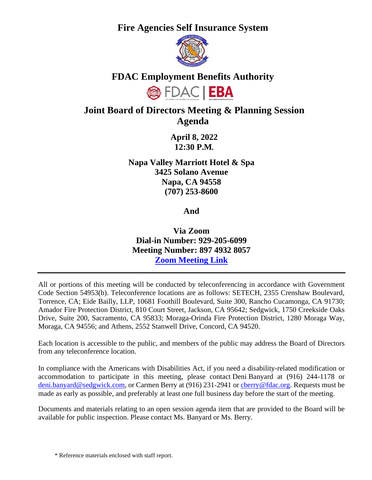**Fire Agencies Self Insurance System**



## **FDAC Employment Benefits Authority**



# **Joint Board of Directors Meeting & Planning Session Agenda**

**April 8, 2022 12:30 P.M***.* 

**Napa Valley Marriott Hotel & Spa 3425 Solano Avenue Napa, CA 94558 (707) 253-8600** 

**And** 

**Via Zoom Dial-in Number: 929-205-6099 Meeting Number: 897 4932 8057 [Zoom Meeting Link](https://us02web.zoom.us/j/89749328057?pwd=N1JtZXpUbjV6clZmRGloUjd1T3IvQT09)**

All or portions of this meeting will be conducted by teleconferencing in accordance with Government Code Section 54953(b). Teleconference locations are as follows: SETECH, 2355 Crenshaw Boulevard, Torrence, CA; Eide Bailly, LLP, 10681 Foothill Boulevard, Suite 300, Rancho Cucamonga, CA 91730; Amador Fire Protection District, 810 Court Street, Jackson, CA 95642; Sedgwick, 1750 Creekside Oaks Drive, Suite 200, Sacramento, CA 95833; Moraga-Orinda Fire Protection District, 1280 Moraga Way, Moraga, CA 94556; and Athens, 2552 Stanwell Drive, Concord, CA 94520.

Each location is accessible to the public, and members of the public may address the Board of Directors from any teleconference location.

In compliance with the Americans with Disabilities Act, if you need a disability-related modification or accommodation to participate in this meeting, please contact Deni Banyard at (916) 244-1178 or [deni.banyard@sedgwick.com,](mailto:deni.banyard@sedgwick.com) or Carmen Berry at (916) 231-2941 or [cberry@fdac.org.](file:///\\nj-nas.sedgwickcms.com\Bickmore\Sacramento\Clients\FASIS\Admin.JPA\Meetings\Board%20of%20Directors\2022\04.08.22\cberry@fdac.org) Requests must be made as early as possible, and preferably at least one full business day before the start of the meeting.

Documents and materials relating to an open session agenda item that are provided to the Board will be available for public inspection. Please contact Ms. Banyard or Ms. Berry.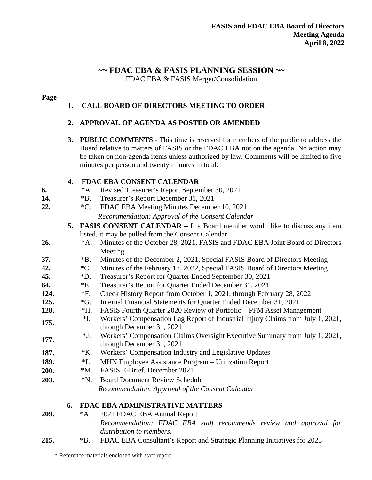# **~~ FDAC EBA & FASIS PLANNING SESSION ~~**

FDAC EBA & FASIS Merger/Consolidation

## **Page**

## **1. CALL BOARD OF DIRECTORS MEETING TO ORDER**

## **2. APPROVAL OF AGENDA AS POSTED OR AMENDED**

**3. PUBLIC COMMENTS** - This time is reserved for members of the public to address the Board relative to matters of FASIS or the FDAC EBA not on the agenda. No action may be taken on non-agenda items unless authorized by law. Comments will be limited to five minutes per person and twenty minutes in total.

## **4. FDAC EBA CONSENT CALENDAR**

- **6.** \*A. Revised Treasurer's Report September 30, 2021
- **14.** \*B. Treasurer's Report December 31, 2021
- **22.** \*C. FDAC EBA Meeting Minutes December 10, 2021 *Recommendation: Approval of the Consent Calendar* 
	- **5. FASIS CONSENT CALENDAR** If a Board member would like to discuss any item listed, it may be pulled from the Consent Calendar.
- **26.** \*A. Minutes of the October 28, 2021, FASIS and FDAC EBA Joint Board of Directors Meeting
- **37.** \*B. Minutes of the December 2, 2021, Special FASIS Board of Directors Meeting
- **42.** \*C. Minutes of the February 17, 2022, Special FASIS Board of Directors Meeting
- **45.** \*D. Treasurer's Report for Quarter Ended September 30, 2021
- **84.** \*E. Treasurer's Report for Quarter Ended December 31, 2021
- **124.** \*F. Check History Report from October 1, 2021, through February 28, 2022
- **125.** \*G. Internal Financial Statements for Quarter Ended December 31, 2021
- **128.** \*H. FASIS Fourth Quarter 2020 Review of Portfolio PFM Asset Management
- <sup>\*I.</sup> Workers' Compensation Lag Report of Industrial Injury Claims from July 1, 2021, through December 31, 2021
- **177.** \*J. Workers' Compensation Claims Oversight Executive Summary from July 1, 2021, through December 31, 2021
- 187. **\*K.** Workers' Compensation Industry and Legislative Updates
- **189.** \*L. MHN Employee Assistance Program Utilization Report
- **200.** \*M. FASIS E-Brief, December 2021
- **203.** \*N. Board Document Review Schedule *Recommendation: Approval of the Consent Calendar*

## **6. FDAC EBA ADMINISTRATIVE MATTERS**

- 
- **209.** \*A. 2021 FDAC EBA Annual Report *Recommendation: FDAC EBA staff recommends review and approval for distribution to members.*
- **215.** \*B. FDAC EBA Consultant's Report and Strategic Planning Initiatives for 2023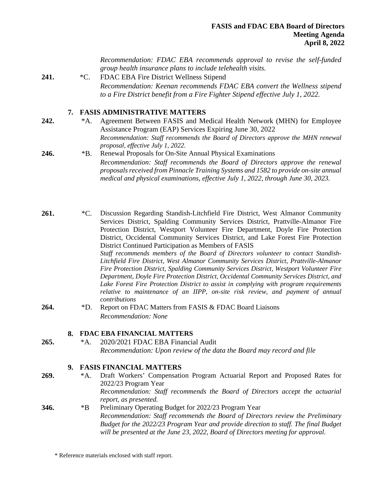*Recommendation: FDAC EBA recommends approval to revise the self-funded group health insurance plans to include telehealth visits.* 

**241.** \*C. FDAC EBA Fire District Wellness Stipend *Recommendation: Keenan recommends FDAC EBA convert the Wellness stipend to a Fire District benefit from a Fire Fighter Stipend effective July 1, 2022.* 

#### **7. FASIS ADMINISTRATIVE MATTERS**

**242.** \*A. Agreement Between FASIS and Medical Health Network (MHN) for Employee Assistance Program (EAP) Services Expiring June 30, 2022 *Recommendation: Staff recommends the Board of Directors approve the MHN renewal proposal, effective July 1, 2022.*

246. **\*B.** Renewal Proposals for On-Site Annual Physical Examinations *Recommendation: Staff recommends the Board of Directors approve the renewal proposals received from Pinnacle Training Systems and 1582 to provide on-site annual medical and physical examinations, effective July 1, 2022, through June 30, 2023.*

261. \* C. Discussion Regarding Standish-Litchfield Fire District, West Almanor Community Services District, Spalding Community Services District, Prattville-Almanor Fire Protection District, Westport Volunteer Fire Department, Doyle Fire Protection District, Occidental Community Services District, and Lake Forest Fire Protection District Continued Participation as Members of FASIS *Staff recommends members of the Board of Directors volunteer to contact Standish-*

*Litchfield Fire District, West Almanor Community Services District, Prattville-Almanor Fire Protection District, Spalding Community Services District, Westport Volunteer Fire Department, Doyle Fire Protection District, Occidental Community Services District, and Lake Forest Fire Protection District to assist in complying with program requirements relative to maintenance of an IIPP, on-site risk review, and payment of annual contributions*

**264.** \*D. Report on FDAC Matters from FASIS & FDAC Board Liaisons *Recommendation: None* 

#### **8. FDAC EBA FINANCIAL MATTERS**

**265.** \*A. 2020/2021 FDAC EBA Financial Audit *Recommendation: Upon review of the data the Board may record and file*

#### **9. FASIS FINANCIAL MATTERS**

**269.** \*A. Draft Workers' Compensation Program Actuarial Report and Proposed Rates for 2022/23 Program Year *Recommendation: Staff recommends the Board of Directors accept the actuarial report, as presented.*  **346.** \*B Preliminary Operating Budget for 2022/23 Program Year *Recommendation: Staff recommends the Board of Directors review the Preliminary Budget for the 2022/23 Program Year and provide direction to staff. The final Budget will be presented at the June 23, 2022, Board of Directors meeting for approval.*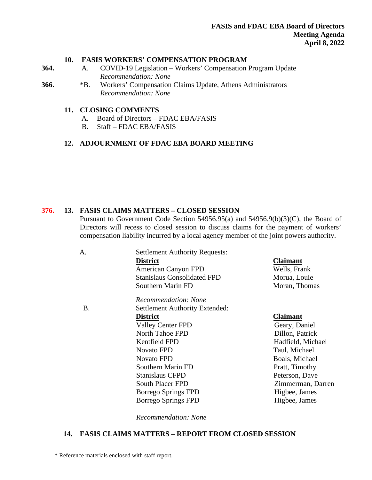#### **10. FASIS WORKERS' COMPENSATION PROGRAM**

**364.** A. COVID-19 Legislation – Workers' Compensation Program Update *Recommendation: None*

**366.** \*B. Workers' Compensation Claims Update, Athens Administrators *Recommendation: None*

#### **11. CLOSING COMMENTS**

- A. Board of Directors FDAC EBA/FASIS
- B. Staff FDAC EBA/FASIS

#### **12. ADJOURNMENT OF FDAC EBA BOARD MEETING**

#### **376. 13. FASIS CLAIMS MATTERS – CLOSED SESSION**

Pursuant to Government Code Section 54956.95(a) and 54956.9(b)(3)(C), the Board of Directors will recess to closed session to discuss claims for the payment of workers' compensation liability incurred by a local agency member of the joint powers authority.

| А.        | <b>Settlement Authority Requests:</b> |                   |
|-----------|---------------------------------------|-------------------|
|           | <b>District</b>                       | <b>Claimant</b>   |
|           | American Canyon FPD                   | Wells, Frank      |
|           | <b>Stanislaus Consolidated FPD</b>    | Morua, Louie      |
|           | Southern Marin FD                     | Moran, Thomas     |
|           | Recommendation: None                  |                   |
| <b>B.</b> | <b>Settlement Authority Extended:</b> |                   |
|           | <b>District</b>                       | <b>Claimant</b>   |
|           | <b>Valley Center FPD</b>              | Geary, Daniel     |
|           | North Tahoe FPD                       | Dillon, Patrick   |
|           | Kentfield FPD                         | Hadfield, Michael |
|           | <b>Novato FPD</b>                     | Taul, Michael     |
|           | <b>Novato FPD</b>                     | Boals, Michael    |
|           | Southern Marin FD                     | Pratt, Timothy    |
|           | <b>Stanislaus CFPD</b>                | Peterson, Dave    |
|           | <b>South Placer FPD</b>               | Zimmerman, Darren |
|           | Borrego Springs FPD                   | Higbee, James     |
|           | Borrego Springs FPD                   | Higbee, James     |

*Recommendation: None* 

#### **14. FASIS CLAIMS MATTERS – REPORT FROM CLOSED SESSION**